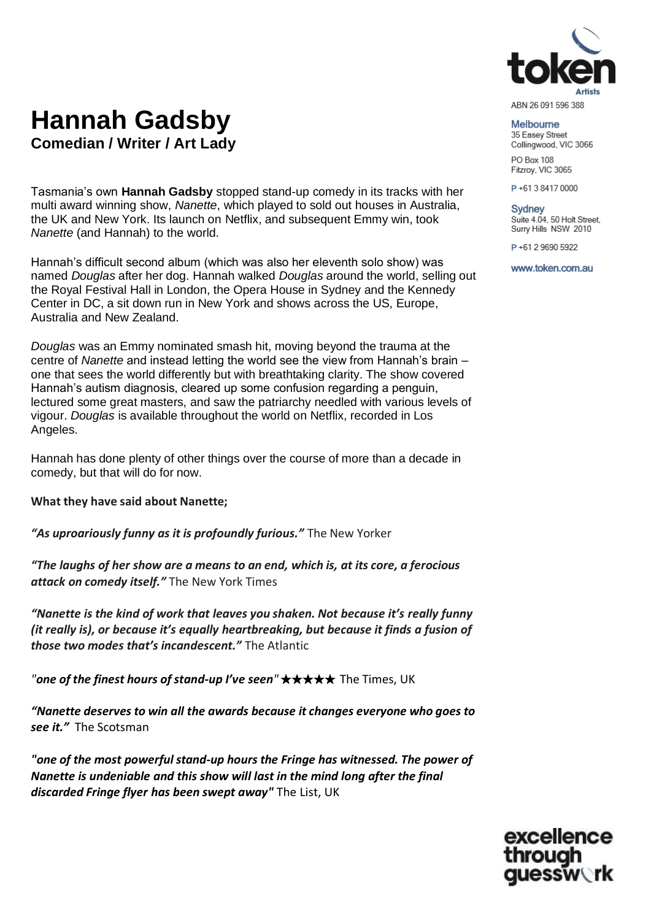

#### ABN 26 091 596 388

#### Melbourne

35 Easey Street Collingwood, VIC 3066

PO Box 108 Fitzroy, VIC 3065

P+61384170000

## Sydney

Suite 4.04, 50 Holt Street, Surry Hills NSW 2010

P+61 2 9690 5922

www.token.com.au

# **Hannah Gadsby Comedian / Writer / Art Lady**

Tasmania's own **Hannah Gadsby** stopped stand-up comedy in its tracks with her multi award winning show, *Nanette*, which played to sold out houses in Australia, the UK and New York. Its launch on Netflix, and subsequent Emmy win, took *Nanette* (and Hannah) to the world.

Hannah's difficult second album (which was also her eleventh solo show) was named *Douglas* after her dog. Hannah walked *Douglas* around the world, selling out the Royal Festival Hall in London, the Opera House in Sydney and the Kennedy Center in DC, a sit down run in New York and shows across the US, Europe, Australia and New Zealand.

*Douglas* was an Emmy nominated smash hit, moving beyond the trauma at the centre of *Nanette* and instead letting the world see the view from Hannah's brain – one that sees the world differently but with breathtaking clarity. The show covered Hannah's autism diagnosis, cleared up some confusion regarding a penguin, lectured some great masters, and saw the patriarchy needled with various levels of vigour. *Douglas* is available throughout the world on Netflix, recorded in Los Angeles.

Hannah has done plenty of other things over the course of more than a decade in comedy, but that will do for now.

**What they have said about Nanette;**

*"As uproariously funny as it is profoundly furious."* The New Yorker

*"The laughs of her show are a means to an end, which is, at its core, a ferocious attack on comedy itself."* The New York Times

*"Nanette is the kind of work that leaves you shaken. Not because it's really funny (it really is), or because it's equally heartbreaking, but because it finds a fusion of those two modes that's incandescent."* The Atlantic

*"one of the finest hours of stand-up I've seen"* ★★★★★ The Times, UK

*"Nanette deserves to win all the awards because it changes everyone who goes to see it."* The Scotsman

*"one of the most powerful stand-up hours the Fringe has witnessed. The power of Nanette is undeniable and this show will last in the mind long after the final discarded Fringe flyer has been swept away"* The List, UK

> excellence through auessw**erk**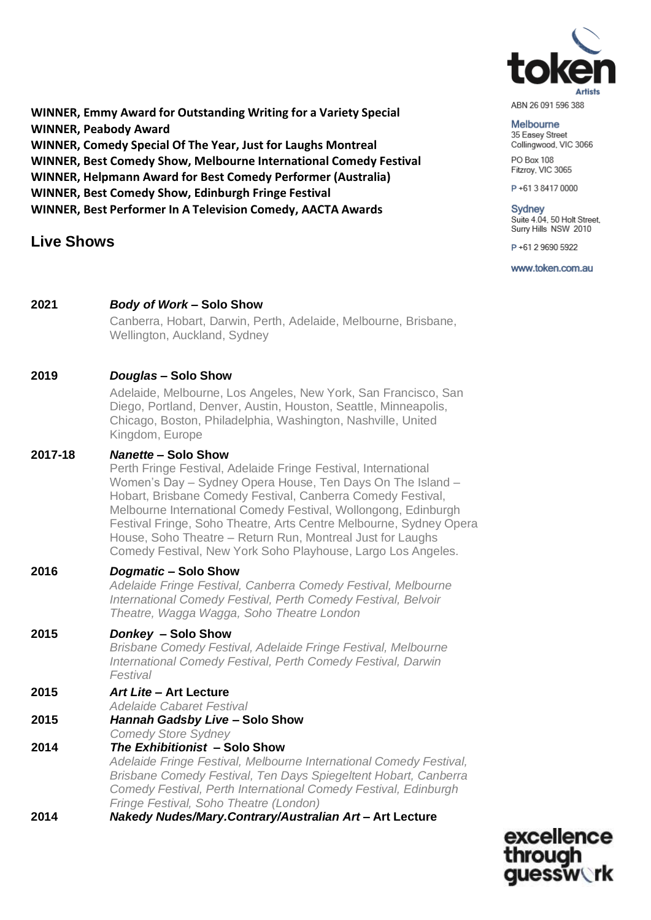

ABN 26 091 596 388

#### Melbourne

35 Easey Street Collingwood, VIC 3066

PO Box 108 Fitzroy, VIC 3065

P+61384170000

#### Sydney Suite 4.04, 50 Holt Street,

Surry Hills NSW 2010

P+61 2 9690 5922

www.token.com.au

**WINNER, Emmy Award for Outstanding Writing for a Variety Special WINNER, Peabody Award WINNER, Comedy Special Of The Year, Just for Laughs Montreal WINNER, Best Comedy Show, Melbourne International Comedy Festival WINNER, Helpmann Award for Best Comedy Performer (Australia) WINNER, Best Comedy Show, Edinburgh Fringe Festival WINNER, Best Performer In A Television Comedy, AACTA Awards**

## **Live Shows**

#### **2021** *Body of Work* **– Solo Show**

Canberra, Hobart, Darwin, Perth, Adelaide, Melbourne, Brisbane, Wellington, Auckland, Sydney

#### **2019** *Douglas* **– Solo Show**

Adelaide, Melbourne, Los Angeles, New York, San Francisco, San Diego, Portland, Denver, Austin, Houston, Seattle, Minneapolis, Chicago, Boston, Philadelphia, Washington, Nashville, United Kingdom, Europe

#### **2017-18** *Nanette –* **Solo Show**

Perth Fringe Festival, Adelaide Fringe Festival, International Women's Day – Sydney Opera House, Ten Days On The Island – Hobart, Brisbane Comedy Festival, Canberra Comedy Festival, Melbourne International Comedy Festival, Wollongong, Edinburgh Festival Fringe, Soho Theatre, Arts Centre Melbourne, Sydney Opera House, Soho Theatre – Return Run, Montreal Just for Laughs Comedy Festival, New York Soho Playhouse, Largo Los Angeles.

#### **2016** *Dogmatic* **– Solo Show**

*Adelaide Fringe Festival, Canberra Comedy Festival, Melbourne International Comedy Festival, Perth Comedy Festival, Belvoir Theatre, Wagga Wagga, Soho Theatre London*

#### **2015** *Donkey* **– Solo Show**

*Brisbane Comedy Festival, Adelaide Fringe Festival, Melbourne International Comedy Festival, Perth Comedy Festival, Darwin Festival*

#### **2015** *Art Lite* **– Art Lecture**

- *Adelaide Cabaret Festival*
- **2015** *Hannah Gadsby Live* **– Solo Show**
	- *Comedy Store Sydney*
- **2014** *The Exhibitionist* **– Solo Show** *Adelaide Fringe Festival, Melbourne International Comedy Festival, Brisbane Comedy Festival, Ten Days Spiegeltent Hobart, Canberra Comedy Festival, Perth International Comedy Festival, Edinburgh Fringe Festival, Soho Theatre (London)*
- **2014** *Nakedy Nudes/Mary.Contrary/Australian Art* **– Art Lecture**

excellence through auessw**erk**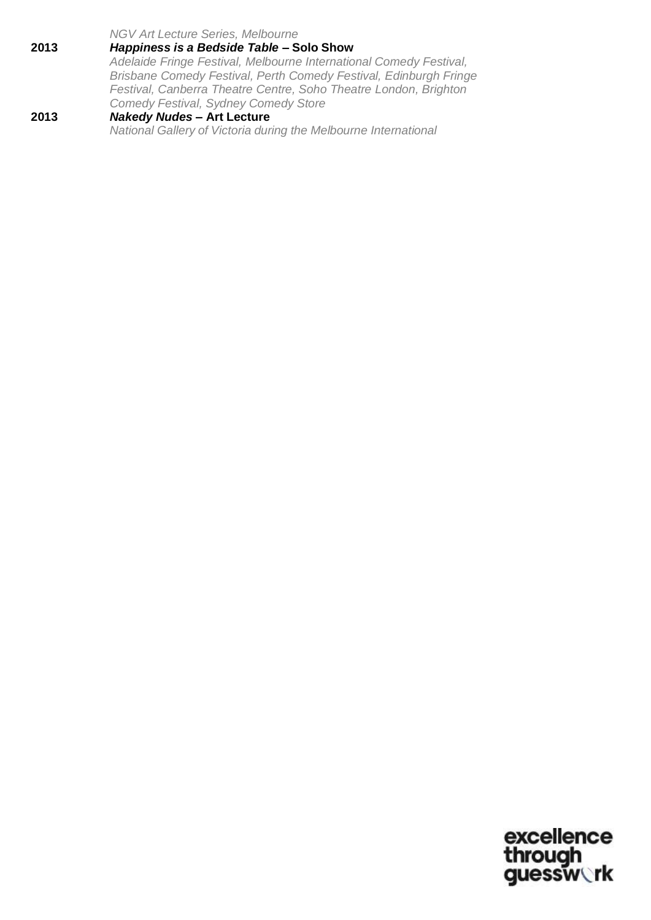*NGV Art Lecture Series, Melbourne*

- **2013** *Happiness is a Bedside Table* **– Solo Show** *Adelaide Fringe Festival, Melbourne International Comedy Festival, Brisbane Comedy Festival, Perth Comedy Festival, Edinburgh Fringe Festival, Canberra Theatre Centre, Soho Theatre London, Brighton Comedy Festival, Sydney Comedy Store*
- **2013** *Nakedy Nudes* **– Art Lecture** *National Gallery of Victoria during the Melbourne International*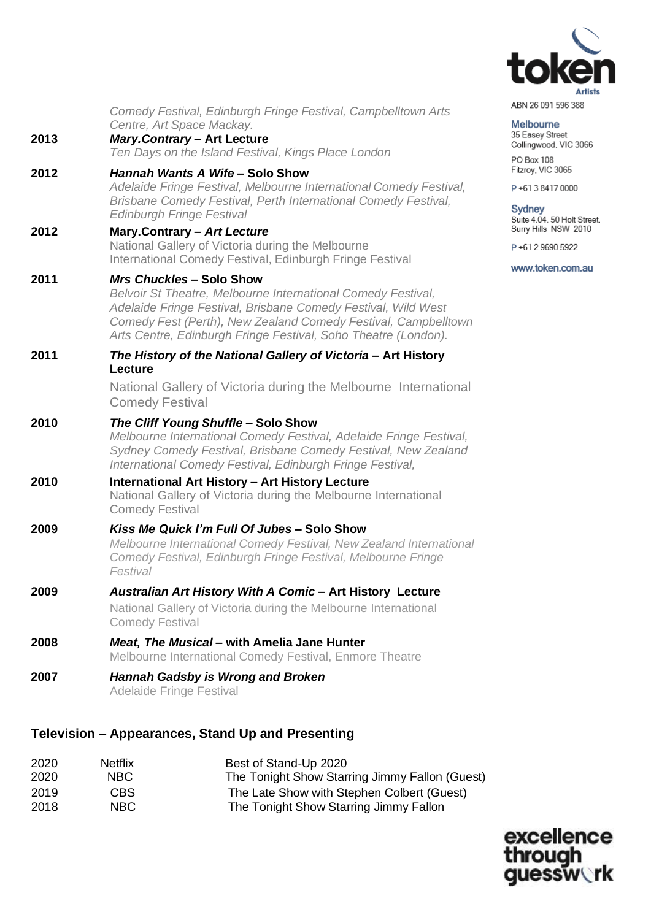

Melbourne 35 Easey Street Collingwood, VIC 3066

PO Box 108 Fitzroy, VIC 3065 P+61384170000

Sydney<br>Suite 4.04, 50 Holt Street,<br>Surry Hills NSW 2010

P+61 2 9690 5922

www.token.com.au

|      | Comedy Festival, Edinburgh Fringe Festival, Campbelltown Arts<br>Centre, Art Space Mackay.                                                                                                                                                                                                           |  |  |  |  |  |
|------|------------------------------------------------------------------------------------------------------------------------------------------------------------------------------------------------------------------------------------------------------------------------------------------------------|--|--|--|--|--|
| 2013 | <b>Mary.Contrary - Art Lecture</b><br>Ten Days on the Island Festival, Kings Place London                                                                                                                                                                                                            |  |  |  |  |  |
| 2012 | Hannah Wants A Wife - Solo Show<br>Adelaide Fringe Festival, Melbourne International Comedy Festival,<br>Brisbane Comedy Festival, Perth International Comedy Festival,<br><b>Edinburgh Fringe Festival</b>                                                                                          |  |  |  |  |  |
| 2012 | Mary.Contrary - Art Lecture<br>National Gallery of Victoria during the Melbourne<br>International Comedy Festival, Edinburgh Fringe Festival                                                                                                                                                         |  |  |  |  |  |
| 2011 | <b>Mrs Chuckles - Solo Show</b><br>Belvoir St Theatre, Melbourne International Comedy Festival,<br>Adelaide Fringe Festival, Brisbane Comedy Festival, Wild West<br>Comedy Fest (Perth), New Zealand Comedy Festival, Campbelltown<br>Arts Centre, Edinburgh Fringe Festival, Soho Theatre (London). |  |  |  |  |  |
| 2011 | The History of the National Gallery of Victoria - Art History<br>Lecture                                                                                                                                                                                                                             |  |  |  |  |  |
|      | National Gallery of Victoria during the Melbourne International<br><b>Comedy Festival</b>                                                                                                                                                                                                            |  |  |  |  |  |
| 2010 | The Cliff Young Shuffle - Solo Show<br>Melbourne International Comedy Festival, Adelaide Fringe Festival,<br>Sydney Comedy Festival, Brisbane Comedy Festival, New Zealand<br>International Comedy Festival, Edinburgh Fringe Festival,                                                              |  |  |  |  |  |
| 2010 | <b>International Art History - Art History Lecture</b><br>National Gallery of Victoria during the Melbourne International<br><b>Comedy Festival</b>                                                                                                                                                  |  |  |  |  |  |
| 2009 | Kiss Me Quick I'm Full Of Jubes - Solo Show<br>Melbourne International Comedy Festival, New Zealand International<br>Comedy Festival, Edinburgh Fringe Festival, Melbourne Fringe<br>Festival                                                                                                        |  |  |  |  |  |
| 2009 | Australian Art History With A Comic - Art History Lecture<br>National Gallery of Victoria during the Melbourne International<br><b>Comedy Festival</b>                                                                                                                                               |  |  |  |  |  |
| 2008 | Meat, The Musical – with Amelia Jane Hunter<br>Melbourne International Comedy Festival, Enmore Theatre                                                                                                                                                                                               |  |  |  |  |  |
| 2007 | <b>Hannah Gadsby is Wrong and Broken</b><br><b>Adelaide Fringe Festival</b>                                                                                                                                                                                                                          |  |  |  |  |  |

### **Television – Appearances, Stand Up and Presenting**

| 2020 | <b>Netflix</b> | Best of Stand-Up 2020                          |
|------|----------------|------------------------------------------------|
| 2020 | NBC.           | The Tonight Show Starring Jimmy Fallon (Guest) |
| 2019 | CBS.           | The Late Show with Stephen Colbert (Guest)     |
| 2018 | NBC.           | The Tonight Show Starring Jimmy Fallon         |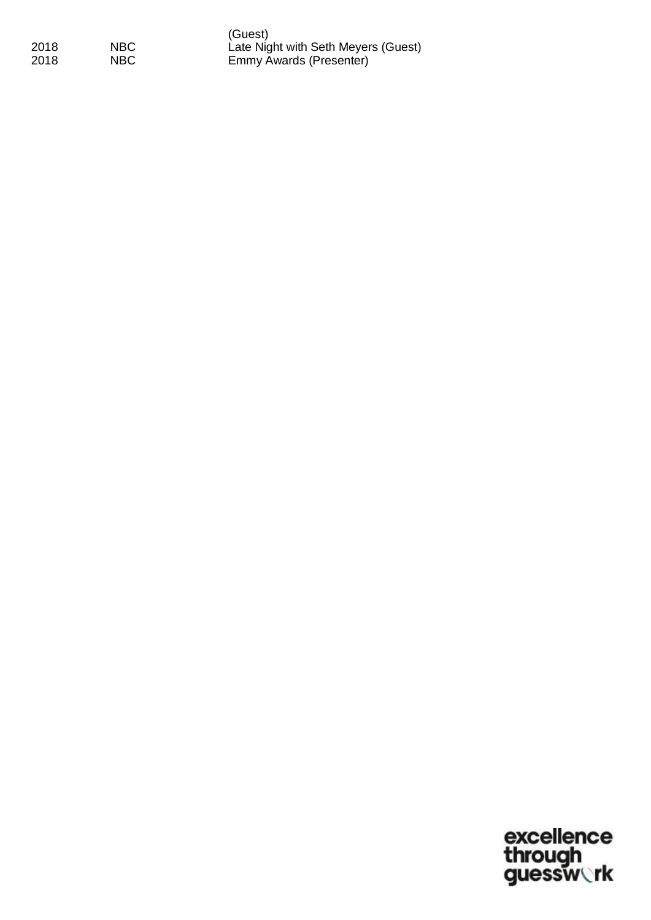|      |      | (Guest)                   |
|------|------|---------------------------|
| 2018 | NBC. | Late Night with Seth Meye |
| 2018 | NBC. | Emmy Awards (Presenter)   |

(Guest) Late Night with Seth Meyers (Guest)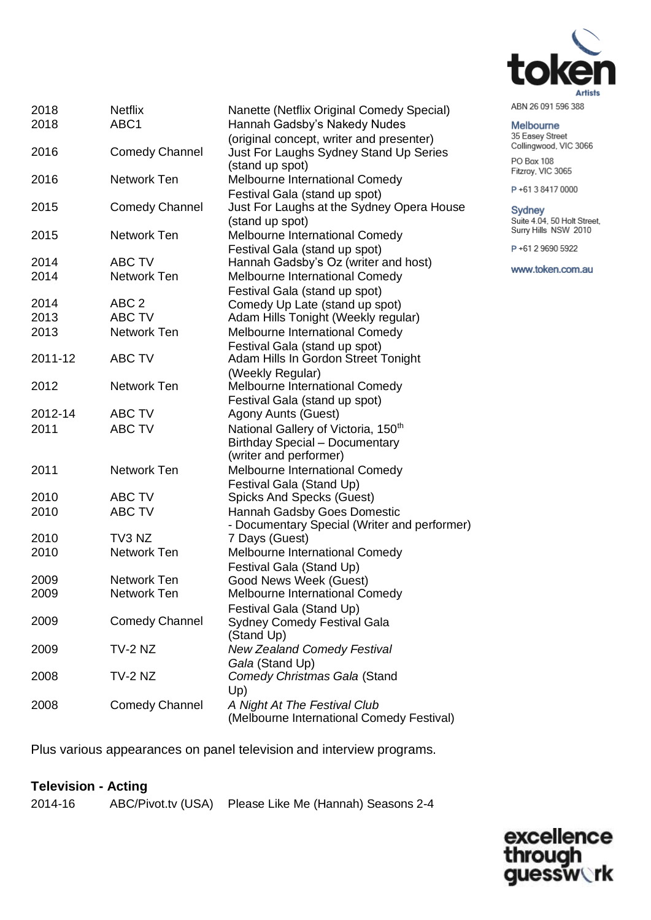

|  | ABN 26 091 596 388 |  |
|--|--------------------|--|
|  |                    |  |

#### Melbourne

35 Easey Street Collingwood, VIC 3066

PO Box 108 Fitzroy, VIC 3065

P+61384170000

Sydney<br>Suite 4.04, 50 Holt Street,<br>Surry Hills NSW 2010

P+61 2 9690 5922

www.token.com.au

| 2018    | <b>Netflix</b>        | Nanette (Netflix Original Comedy Special)                       |
|---------|-----------------------|-----------------------------------------------------------------|
| 2018    | ABC1                  | Hannah Gadsby's Nakedy Nudes                                    |
|         |                       | (original concept, writer and presenter)                        |
| 2016    | <b>Comedy Channel</b> | Just For Laughs Sydney Stand Up Series                          |
|         |                       | (stand up spot)                                                 |
| 2016    | Network Ten           | Melbourne International Comedy                                  |
|         |                       | Festival Gala (stand up spot)                                   |
| 2015    | <b>Comedy Channel</b> | Just For Laughs at the Sydney Opera House                       |
|         |                       | (stand up spot)                                                 |
| 2015    | Network Ten           | Melbourne International Comedy                                  |
|         |                       | Festival Gala (stand up spot)                                   |
| 2014    | ABC TV                | Hannah Gadsby's Oz (writer and host)                            |
| 2014    | Network Ten           | Melbourne International Comedy                                  |
|         |                       | Festival Gala (stand up spot)                                   |
| 2014    | ABC <sub>2</sub>      | Comedy Up Late (stand up spot)                                  |
| 2013    | <b>ABC TV</b>         | Adam Hills Tonight (Weekly regular)                             |
| 2013    | Network Ten           | Melbourne International Comedy                                  |
|         |                       | Festival Gala (stand up spot)                                   |
| 2011-12 | <b>ABC TV</b>         | Adam Hills In Gordon Street Tonight                             |
|         |                       | (Weekly Regular)                                                |
| 2012    | Network Ten           | Melbourne International Comedy                                  |
| 2012-14 | ABC TV                | Festival Gala (stand up spot)<br>Agony Aunts (Guest)            |
| 2011    | <b>ABC TV</b>         | National Gallery of Victoria, 150 <sup>th</sup>                 |
|         |                       |                                                                 |
|         |                       | <b>Birthday Special - Documentary</b><br>(writer and performer) |
| 2011    | <b>Network Ten</b>    | Melbourne International Comedy                                  |
|         |                       | Festival Gala (Stand Up)                                        |
| 2010    | <b>ABC TV</b>         | <b>Spicks And Specks (Guest)</b>                                |
| 2010    | <b>ABC TV</b>         | Hannah Gadsby Goes Domestic                                     |
|         |                       | - Documentary Special (Writer and performer)                    |
| 2010    | TV3 NZ                | 7 Days (Guest)                                                  |
| 2010    | Network Ten           | Melbourne International Comedy                                  |
|         |                       | Festival Gala (Stand Up)                                        |
| 2009    | <b>Network Ten</b>    | Good News Week (Guest)                                          |
| 2009    | <b>Network Ten</b>    | Melbourne International Comedy                                  |
|         |                       | Festival Gala (Stand Up)                                        |
| 2009    | <b>Comedy Channel</b> | <b>Sydney Comedy Festival Gala</b>                              |
|         |                       | (Stand Up)                                                      |
| 2009    | TV-2 NZ               | <b>New Zealand Comedy Festival</b>                              |
|         |                       | Gala (Stand Up)                                                 |
| 2008    | TV-2 NZ               | Comedy Christmas Gala (Stand                                    |
|         |                       | Up)                                                             |
| 2008    | <b>Comedy Channel</b> | A Night At The Festival Club                                    |
|         |                       | (Melbourne International Comedy Festival)                       |

Plus various appearances on panel television and interview programs.

## **Television - Acting**

| 2014-16 | ABC/Pivot.tv (USA) Please Like Me (Hannah) Seasons 2-4 |  |  |
|---------|--------------------------------------------------------|--|--|
|         |                                                        |  |  |